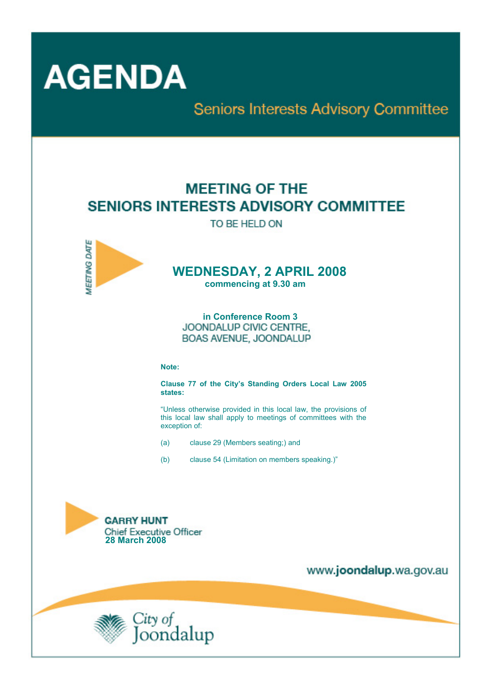

**Seniors Interests Advisory Committee** 

# **MEETING OF THE SENIORS INTERESTS ADVISORY COMMITTEE**

TO BE HELD ON



# **WEDNESDAY, 2 APRIL 2008**

 **commencing at 9.30 am** 

 **in Conference Room 3 JOONDALUP CIVIC CENTRE.** BOAS AVENUE, JOONDALUP

#### **Note:**

**Clause 77 of the City's Standing Orders Local Law 2005 states:** 

"Unless otherwise provided in this local law, the provisions of this local law shall apply to meetings of committees with the exception of:

- (a) clause 29 (Members seating;) and
- (b) clause 54 (Limitation on members speaking.)"



www.joondalup.wa.gov.au

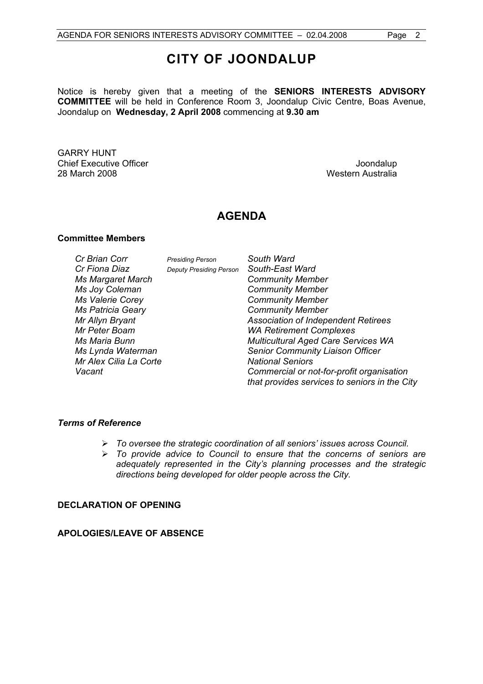Notice is hereby given that a meeting of the **SENIORS INTERESTS ADVISORY COMMITTEE** will be held in Conference Room 3, Joondalup Civic Centre, Boas Avenue, Joondalup on **Wednesday, 2 April 2008** commencing at **9.30 am** 

GARRY HUNT **Chief Executive Officer Chief Executive Officer Joseph According to the Chief Executive Officer Joondalup** 28 March 2008 Western Australia

## **AGENDA**

#### **Committee Members**

| Cr Brian Corr            | <b>Presiding Person</b>        | South Ward                                    |
|--------------------------|--------------------------------|-----------------------------------------------|
| Cr Fiona Diaz            | <b>Deputy Presiding Person</b> | South-East Ward                               |
| <b>Ms Margaret March</b> |                                | <b>Community Member</b>                       |
| Ms Joy Coleman           |                                | <b>Community Member</b>                       |
| <b>Ms Valerie Corey</b>  |                                | <b>Community Member</b>                       |
| <b>Ms Patricia Geary</b> |                                | <b>Community Member</b>                       |
| Mr Allyn Bryant          |                                | <b>Association of Independent Retirees</b>    |
| Mr Peter Boam            |                                | <b>WA Retirement Complexes</b>                |
| Ms Maria Bunn            |                                | <b>Multicultural Aged Care Services WA</b>    |
| Ms Lynda Waterman        |                                | <b>Senior Community Liaison Officer</b>       |
| Mr Alex Cilia La Corte   |                                | <b>National Seniors</b>                       |
| Vacant                   |                                | Commercial or not-for-profit organisation     |
|                          |                                | that provides services to seniors in the City |

#### *Terms of Reference*

- ¾ *To oversee the strategic coordination of all seniors' issues across Council.*
- ¾ *To provide advice to Council to ensure that the concerns of seniors are adequately represented in the City's planning processes and the strategic directions being developed for older people across the City.*

#### **DECLARATION OF OPENING**

#### **APOLOGIES/LEAVE OF ABSENCE**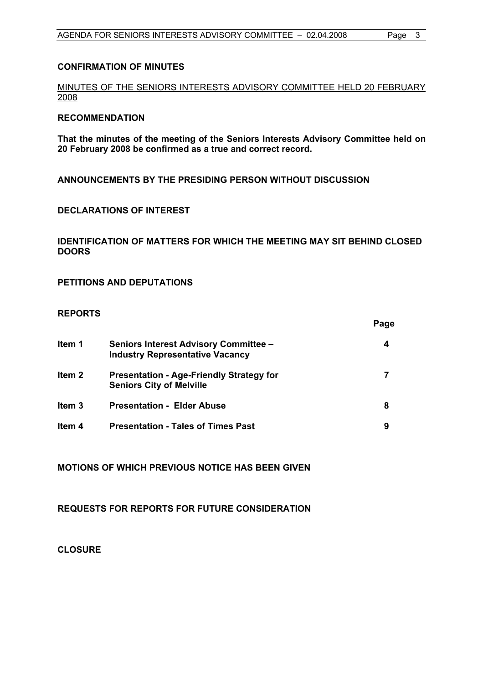#### **CONFIRMATION OF MINUTES**

MINUTES OF THE SENIORS INTERESTS ADVISORY COMMITTEE HELD 20 FEBRUARY 2008

#### **RECOMMENDATION**

**That the minutes of the meeting of the Seniors Interests Advisory Committee held on 20 February 2008 be confirmed as a true and correct record.** 

**ANNOUNCEMENTS BY THE PRESIDING PERSON WITHOUT DISCUSSION** 

#### **DECLARATIONS OF INTEREST**

#### **IDENTIFICATION OF MATTERS FOR WHICH THE MEETING MAY SIT BEHIND CLOSED DOORS**

**PETITIONS AND DEPUTATIONS** 

#### **REPORTS**

|                   |                                                                                        | Page |
|-------------------|----------------------------------------------------------------------------------------|------|
| ltem 1            | <b>Seniors Interest Advisory Committee -</b><br><b>Industry Representative Vacancy</b> | 4    |
| Item <sub>2</sub> | <b>Presentation - Age-Friendly Strategy for</b><br><b>Seniors City of Melville</b>     |      |
| ltem 3            | <b>Presentation - Elder Abuse</b>                                                      | 8    |
| ltem 4            | <b>Presentation - Tales of Times Past</b>                                              | 9    |

**MOTIONS OF WHICH PREVIOUS NOTICE HAS BEEN GIVEN** 

**REQUESTS FOR REPORTS FOR FUTURE CONSIDERATION** 

**CLOSURE**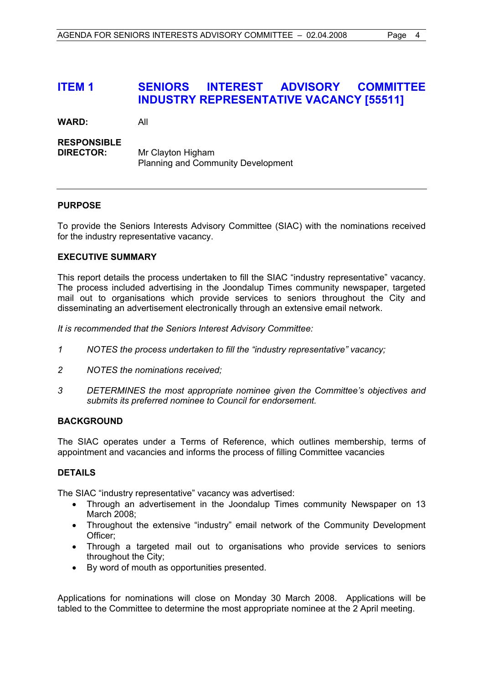## **ITEM 1 SENIORS INTEREST ADVISORY COMMITTEE INDUSTRY REPRESENTATIVE VACANCY [55511]**

**WARD:** All

#### **RESPONSIBLE**

**DIRECTOR:** Mr Clayton Higham Planning and Community Development

#### **PURPOSE**

To provide the Seniors Interests Advisory Committee (SIAC) with the nominations received for the industry representative vacancy.

#### **EXECUTIVE SUMMARY**

This report details the process undertaken to fill the SIAC "industry representative" vacancy. The process included advertising in the Joondalup Times community newspaper, targeted mail out to organisations which provide services to seniors throughout the City and disseminating an advertisement electronically through an extensive email network.

*It is recommended that the Seniors Interest Advisory Committee:* 

- *1 NOTES the process undertaken to fill the "industry representative" vacancy;*
- *2 NOTES the nominations received;*
- *3 DETERMINES the most appropriate nominee given the Committee's objectives and submits its preferred nominee to Council for endorsement.*

#### **BACKGROUND**

The SIAC operates under a Terms of Reference, which outlines membership, terms of appointment and vacancies and informs the process of filling Committee vacancies

#### **DETAILS**

The SIAC "industry representative" vacancy was advertised:

- Through an advertisement in the Joondalup Times community Newspaper on 13 March 2008;
- Throughout the extensive "industry" email network of the Community Development Officer;
- Through a targeted mail out to organisations who provide services to seniors throughout the City;
- By word of mouth as opportunities presented.

Applications for nominations will close on Monday 30 March 2008. Applications will be tabled to the Committee to determine the most appropriate nominee at the 2 April meeting.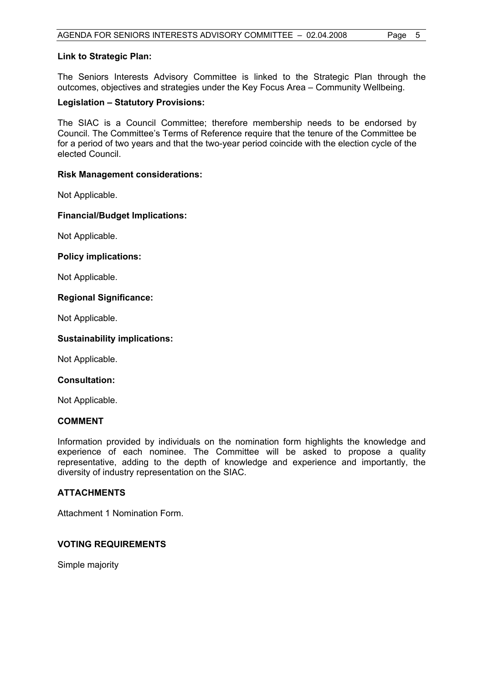#### **Link to Strategic Plan:**

The Seniors Interests Advisory Committee is linked to the Strategic Plan through the outcomes, objectives and strategies under the Key Focus Area – Community Wellbeing.

#### **Legislation – Statutory Provisions:**

The SIAC is a Council Committee; therefore membership needs to be endorsed by Council. The Committee's Terms of Reference require that the tenure of the Committee be for a period of two years and that the two-year period coincide with the election cycle of the elected Council.

#### **Risk Management considerations:**

Not Applicable.

#### **Financial/Budget Implications:**

Not Applicable.

#### **Policy implications:**

Not Applicable.

#### **Regional Significance:**

Not Applicable.

#### **Sustainability implications:**

Not Applicable.

#### **Consultation:**

Not Applicable.

#### **COMMENT**

Information provided by individuals on the nomination form highlights the knowledge and experience of each nominee. The Committee will be asked to propose a quality representative, adding to the depth of knowledge and experience and importantly, the diversity of industry representation on the SIAC.

#### **ATTACHMENTS**

Attachment 1 Nomination Form.

#### **VOTING REQUIREMENTS**

Simple majority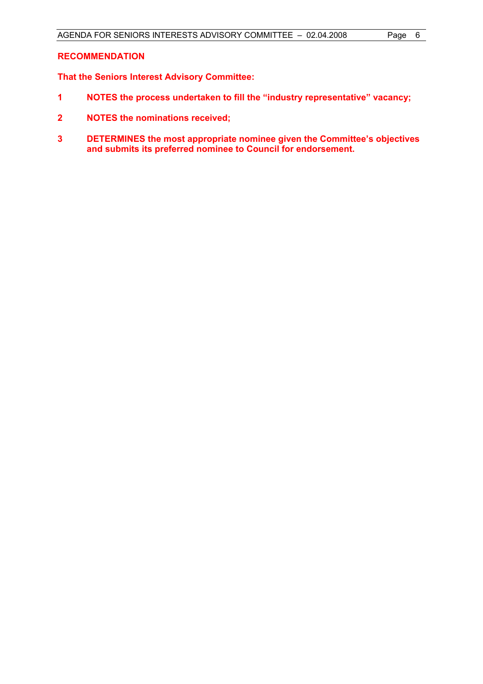#### **RECOMMENDATION**

**That the Seniors Interest Advisory Committee:** 

- **1 NOTES the process undertaken to fill the "industry representative" vacancy;**
- **2 NOTES the nominations received;**
- **3 DETERMINES the most appropriate nominee given the Committee's objectives and submits its preferred nominee to Council for endorsement.**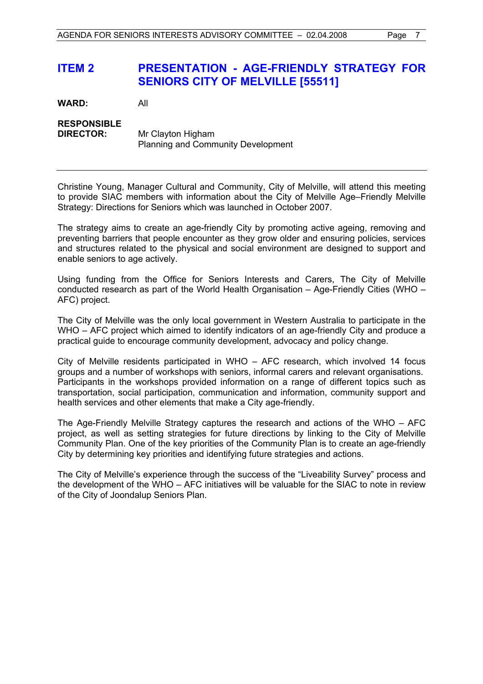## **ITEM 2 PRESENTATION - AGE-FRIENDLY STRATEGY FOR SENIORS CITY OF MELVILLE [55511]**

**WARD:** All

#### **RESPONSIBLE DIRECTOR:** Mr Clayton Higham Planning and Community Development

Christine Young, Manager Cultural and Community, City of Melville, will attend this meeting to provide SIAC members with information about the City of Melville Age–Friendly Melville Strategy: Directions for Seniors which was launched in October 2007.

The strategy aims to create an age-friendly City by promoting active ageing, removing and preventing barriers that people encounter as they grow older and ensuring policies, services and structures related to the physical and social environment are designed to support and enable seniors to age actively.

Using funding from the Office for Seniors Interests and Carers, The City of Melville conducted research as part of the World Health Organisation – Age-Friendly Cities (WHO – AFC) project.

The City of Melville was the only local government in Western Australia to participate in the WHO – AFC project which aimed to identify indicators of an age-friendly City and produce a practical guide to encourage community development, advocacy and policy change.

City of Melville residents participated in WHO – AFC research, which involved 14 focus groups and a number of workshops with seniors, informal carers and relevant organisations. Participants in the workshops provided information on a range of different topics such as transportation, social participation, communication and information, community support and health services and other elements that make a City age-friendly.

The Age-Friendly Melville Strategy captures the research and actions of the WHO – AFC project, as well as setting strategies for future directions by linking to the City of Melville Community Plan. One of the key priorities of the Community Plan is to create an age-friendly City by determining key priorities and identifying future strategies and actions.

The City of Melville's experience through the success of the "Liveability Survey" process and the development of the WHO – AFC initiatives will be valuable for the SIAC to note in review of the City of Joondalup Seniors Plan.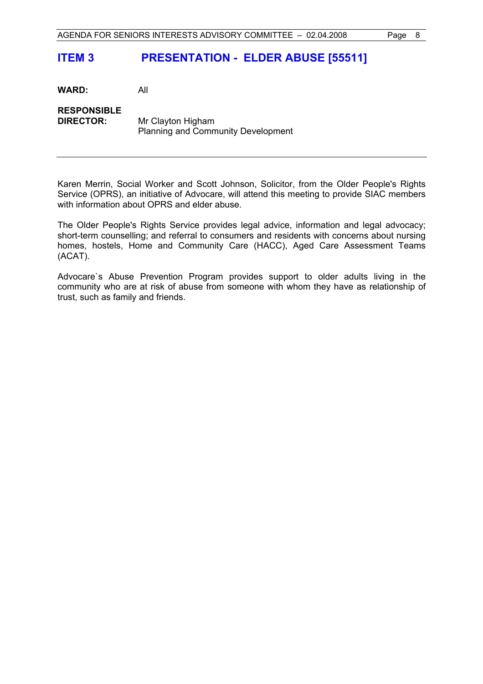## **ITEM 3 PRESENTATION - ELDER ABUSE [55511]**

**WARD:** All **RESPONSIBLE DIRECTOR:** Mr Clayton Higham Planning and Community Development

Karen Merrin, Social Worker and Scott Johnson, Solicitor, from the Older People's Rights Service (OPRS), an initiative of Advocare, will attend this meeting to provide SIAC members with information about OPRS and elder abuse.

The Older People's Rights Service provides legal advice, information and legal advocacy; short-term counselling; and referral to consumers and residents with concerns about nursing homes, hostels, Home and Community Care (HACC), Aged Care Assessment Teams (ACAT).

Advocare`s Abuse Prevention Program provides support to older adults living in the community who are at risk of abuse from someone with whom they have as relationship of trust, such as family and friends.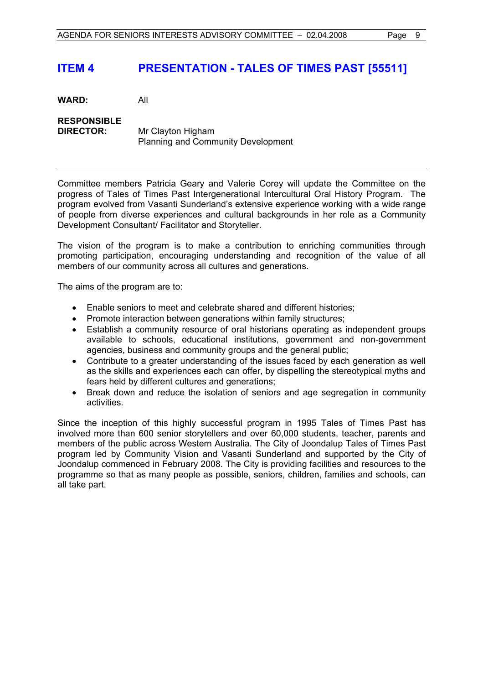## **ITEM 4 PRESENTATION - TALES OF TIMES PAST [55511]**

**WARD:** All

**RESPONSIBLE DIRECTOR:** Mr Clayton Higham Planning and Community Development

Committee members Patricia Geary and Valerie Corey will update the Committee on the progress of Tales of Times Past Intergenerational Intercultural Oral History Program. The program evolved from Vasanti Sunderland's extensive experience working with a wide range of people from diverse experiences and cultural backgrounds in her role as a Community Development Consultant/ Facilitator and Storyteller.

The vision of the program is to make a contribution to enriching communities through promoting participation, encouraging understanding and recognition of the value of all members of our community across all cultures and generations.

The aims of the program are to:

- Enable seniors to meet and celebrate shared and different histories;
- Promote interaction between generations within family structures;
- Establish a community resource of oral historians operating as independent groups available to schools, educational institutions, government and non-government agencies, business and community groups and the general public;
- Contribute to a greater understanding of the issues faced by each generation as well as the skills and experiences each can offer, by dispelling the stereotypical myths and fears held by different cultures and generations;
- Break down and reduce the isolation of seniors and age segregation in community activities.

Since the inception of this highly successful program in 1995 Tales of Times Past has involved more than 600 senior storytellers and over 60,000 students, teacher, parents and members of the public across Western Australia. The City of Joondalup Tales of Times Past program led by Community Vision and Vasanti Sunderland and supported by the City of Joondalup commenced in February 2008. The City is providing facilities and resources to the programme so that as many people as possible, seniors, children, families and schools, can all take part.